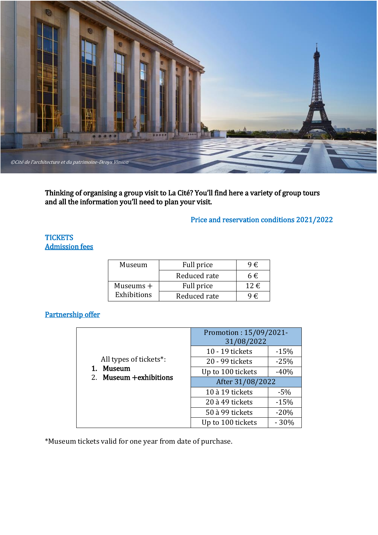

Thinking of organising a group visit to La Cité? You'll find here a variety of group tours and all the information you'll need to plan your visit.

# Price and reservation conditions 2021/2022

## **TICKETS** Admission fees

| Museum      | Full price   | $9 \in$  |
|-------------|--------------|----------|
|             | Reduced rate | 6€       |
| Museums $+$ | Full price   | 12 $\in$ |
| Exhibitions | Reduced rate | ∣€       |

# Partnership offer

|                                                                          | Promotion: 15/09/2021-<br>31/08/2022 |        |  |
|--------------------------------------------------------------------------|--------------------------------------|--------|--|
|                                                                          | 10 - 19 tickets                      | $-15%$ |  |
| All types of tickets*:<br><b>Museum</b><br>1.<br>2. Museum + exhibitions | 20 - 99 tickets                      | $-25%$ |  |
|                                                                          | Up to 100 tickets                    | $-40%$ |  |
|                                                                          | After 31/08/2022                     |        |  |
|                                                                          | 10 à 19 tickets                      | $-5%$  |  |
|                                                                          | 20 à 49 tickets                      | $-15%$ |  |
|                                                                          | 50 à 99 tickets                      | $-20%$ |  |
|                                                                          | Up to 100 tickets                    | $-30%$ |  |

\*Museum tickets valid for one year from date of purchase.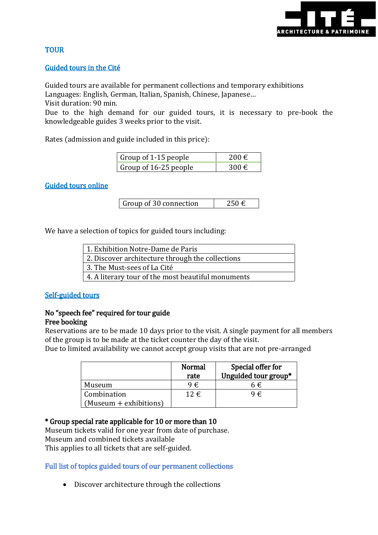

# **TOUR**

## Guided tours in the Cité

Guided tours are available for permanent collections and temporary exhibitions Languages: English, German, Italian, Spanish, Chinese, Japanese…

Visit duration: 90 min.

Due to the high demand for our guided tours, it is necessary to pre-book the knowledgeable guides 3 weeks prior to the visit.

Rates (admission and guide included in this price):

| Group of 1-15 people  | 200 € |
|-----------------------|-------|
| Group of 16-25 people | 300 € |

## Guided tours online

| Group of 30 connection | 250€ |
|------------------------|------|
|------------------------|------|

We have a selection of topics for guided tours including:

| 1. Exhibition Notre-Dame de Paris                  |  |  |
|----------------------------------------------------|--|--|
| 2. Discover architecture through the collections   |  |  |
| 3. The Must-sees of La Cité                        |  |  |
| 4. A literary tour of the most beautiful monuments |  |  |

#### Self-guided tours

#### No "speech fee" required for tour guide Free booking

Reservations are to be made 10 days prior to the visit. A single payment for all members of the group is to be made at the ticket counter the day of the visit.

Due to limited availability we cannot accept group visits that are not pre-arranged

|                                       | <b>Normal</b><br>rate | Special offer for<br>Unguided tour group* |
|---------------------------------------|-----------------------|-------------------------------------------|
| Museum                                | 9€.                   | 6€                                        |
| Combination<br>(Museum + exhibitions) | $12 \in$              | 9€                                        |

#### \* Group special rate applicable for 10 or more than 10

Museum tickets valid for one year from date of purchase. Museum and combined tickets available This applies to all tickets that are self-guided.

#### Full list of topics guided tours of our permanent collections

Discover architecture through the collections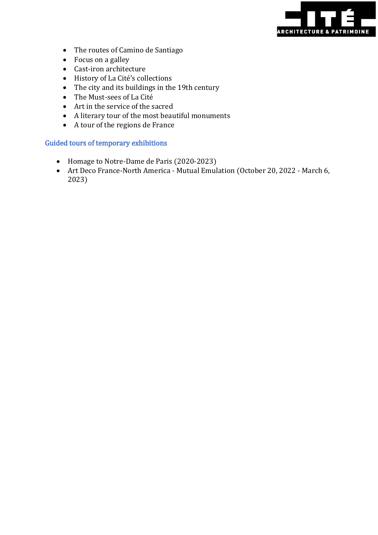

- The routes of Camino de Santiago
- Focus on a galley
- Cast-iron architecture
- History of La Cité's collections
- The city and its buildings in the 19th century
- The Must-sees of La Cité
- Art in the service of the sacred
- A literary tour of the most beautiful monuments
- A tour of the regions de France

#### Guided tours of temporary exhibitions

- Homage to Notre-Dame de Paris (2020-2023)
- Art Deco France-North America Mutual Emulation (October 20, 2022 March 6, 2023)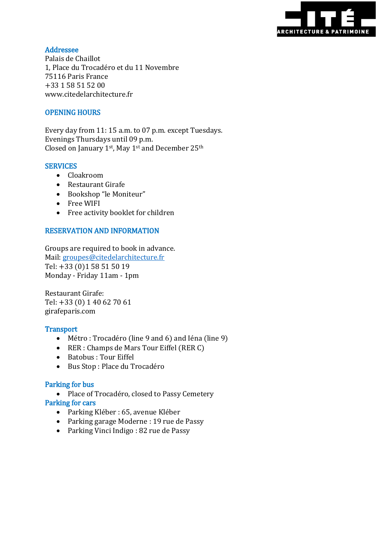

## Addressee

Palais de Chaillot 1, Place du Trocadéro et du 11 Novembre 75116 Paris France +33 1 58 51 52 00 www.citedelarchitecture.fr

# OPENING HOURS

Every day from 11: 15 a.m. to 07 p.m. except Tuesdays. Evenings Thursdays until 09 p.m. Closed on January 1st, May 1st and December 25th

#### **SERVICES**

- Cloakroom
- Restaurant Girafe
- Bookshop "le Moniteur"
- Free WIFI
- Free activity booklet for children

#### RESERVATION AND INFORMATION

Groups are required to book in advance. Mail: [groupes@citedelarchitecture.fr](mailto:groupes@citedelarchitecture.fr) Tel: +33 (0)1 58 51 50 19 Monday - Friday 11am - 1pm

Restaurant Girafe: Tel: +33 (0) 1 40 62 70 61 girafeparis.com

#### **Transport**

- Métro : Trocadéro (line 9 and 6) and Iéna (line 9)
- RER : Champs de Mars Tour Eiffel (RER C)
- Batobus : Tour Eiffel
- Bus Stop : Place du Trocadéro

#### Parking for bus

- Place of Trocadéro, closed to Passy Cemetery Parking for cars
	- Parking Kléber : 65, avenue Kléber
	- Parking garage Moderne : 19 rue de Passy
	- Parking Vinci Indigo : 82 rue de Passy